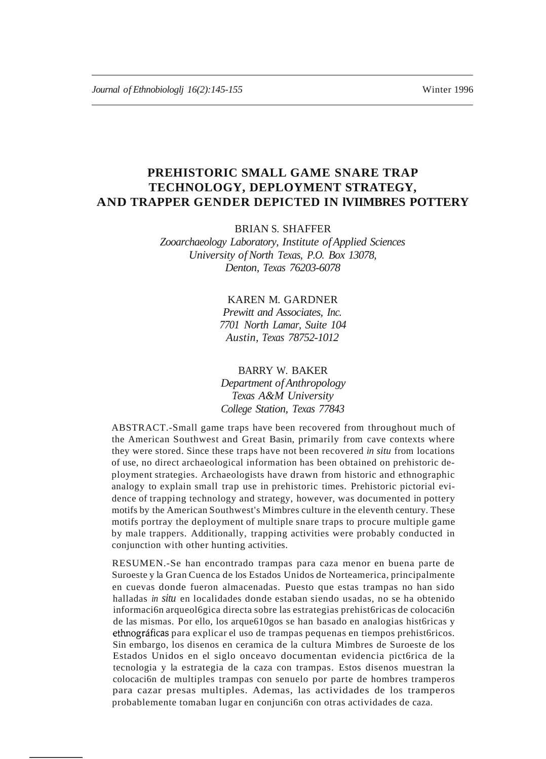# **PREHISTORIC SMALL GAME SNARE TRAP TECHNOLOGY, DEPLOYMENT STRATEGY, AND TRAPPER GENDER DEPICTED IN lVIIMBRES POTTERY**

BRIAN S. SHAFFER

*Zooarchaeology Laboratory, Institute ofApplied Sciences University ofNorth Texas, P.O. Box 13078, Denton, Texas 76203-6078*

# KAREN M. GARDNER

*Prewitt and Associates, Inc. 7701 North Lamar, Suite 104 Austin, Texas 78752-1012*

### BARRY W. BAKER

*Department ofAnthropology Texas A&M University College Station, Texas 77843*

ABSTRACT.-Small game traps have been recovered from throughout much of the American Southwest and Great Basin, primarily from cave contexts where they were stored. Since these traps have not been recovered *in situ* from locations of use, no direct archaeological information has been obtained on prehistoric deployment strategies. Archaeologists have drawn from historic and ethnographic analogy to explain small trap use in prehistoric times. Prehistoric pictorial evidence of trapping technology and strategy, however, was documented in pottery motifs by the American Southwest's Mimbres culture in the eleventh century. These motifs portray the deployment of multiple snare traps to procure multiple game by male trappers. Additionally, trapping activities were probably conducted in conjunction with other hunting activities.

RESUMEN.-Se han encontrado trampas para caza menor en buena parte de Suroeste y la Gran Cuenca de los Estados Unidos de Norteamerica, principalmente en cuevas donde fueron almacenadas. Puesto que estas trampas no han sido halladas *in situ* en localidades donde estaban siendo usadas, no se ha obtenido informaci6n arqueol6gica directa sobre las estrategias prehist6ricas de colocaci6n de las mismas. Por ello, los arque610gos se han basado en analogias hist6ricas y ethnográficas para explicar el uso de trampas pequenas en tiempos prehistóricos. Sin embargo, los disenos en ceramica de la cultura Mimbres de Suroeste de los Estados Unidos en el siglo onceavo documentan evidencia pict6rica de la tecnologia y la estrategia de la caza con trampas. Estos disenos muestran la colocaci6n de multiples trampas con senuelo por parte de hombres tramperos para cazar presas multiples. Ademas, las actividades de los tramperos probablemente tomaban lugar en conjunci6n con otras actividades de caza.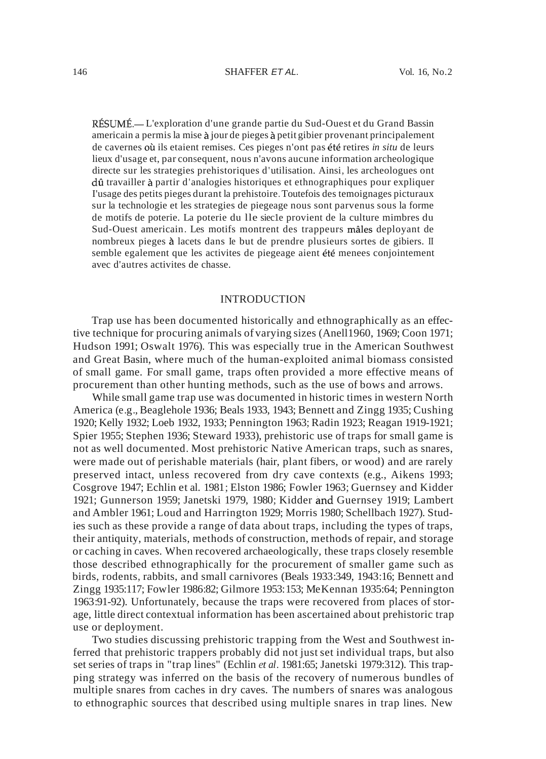RÉSUMÉ.— L'exploration d'une grande partie du Sud-Ouest et du Grand Bassin americain a permis la mise à jour de pieges à petit gibier provenant principalement de cavernes où ils etaient remises. Ces pieges n'ont pas été retires *in situ* de leurs lieux d'usage et, par consequent, nous n'avons aucune information archeologique directe sur les strategies prehistoriques d'utilisation. Ainsi, les archeologues ont dû travailler à partir d'analogies historiques et ethnographiques pour expliquer I'usage des petits pieges durant la prehistoire.Toutefois des temoignages picturaux sur la technologie et les strategies de piegeage nous sont parvenus sous la forme de motifs de poterie. La poterie du lle siec1e provient de la culture mimbres du Sud-Ouest americain. Les motifs montrent des trappeurs mâles deployant de nombreux pieges a lacets dans Ie but de prendre plusieurs sortes de gibiers. II semble egalement que les activites de piegeage aient été menees conjointement avec d'autres activites de chasse.

#### INTRODUCTION

Trap use has been documented historically and ethnographically as an effective technique for procuring animals of varying sizes (Anell1960, 1969; Coon 1971; Hudson 1991; Oswalt 1976). This was especially true in the American Southwest and Great Basin, where much of the human-exploited animal biomass consisted of small game. For small game, traps often provided a more effective means of procurement than other hunting methods, such as the use of bows and arrows.

While small game trap use was documented in historic times in western North America (e.g., Beaglehole 1936; Beals 1933, 1943; Bennett and Zingg 1935; Cushing 1920; Kelly 1932; Loeb 1932, 1933; Pennington 1963; Radin 1923; Reagan 1919-1921; Spier 1955; Stephen 1936; Steward 1933), prehistoric use of traps for small game is not as well documented. Most prehistoric Native American traps, such as snares, were made out of perishable materials (hair, plant fibers, or wood) and are rarely preserved intact, unless recovered from dry cave contexts (e.g., Aikens 1993; Cosgrove 1947; Echlin et al. 1981; Elston 1986; Fowler 1963; Guernsey and Kidder 1921; Gunnerson 1959; Janetski 1979, 1980; Kidder and Guernsey 1919; Lambert and Ambler 1961; Loud and Harrington 1929; Morris 1980; Schellbach 1927). Studies such as these provide a range of data about traps, including the types of traps, their antiquity, materials, methods of construction, methods of repair, and storage or caching in caves. When recovered archaeologically, these traps closely resemble those described ethnographically for the procurement of smaller game such as birds, rodents, rabbits, and small carnivores (Beals 1933:349, 1943:16; Bennett and Zingg 1935:117; Fowler 1986:82; Gilmore 1953:153; MeKennan 1935:64; Pennington 1963:91-92). Unfortunately, because the traps were recovered from places of storage, little direct contextual information has been ascertained about prehistoric trap use or deployment.

Two studies discussing prehistoric trapping from the West and Southwest inferred that prehistoric trappers probably did not just set individual traps, but also set series of traps in "trap lines" (Echlin *et al.* 1981:65; Janetski 1979:312). This trapping strategy was inferred on the basis of the recovery of numerous bundles of multiple snares from caches in dry caves. The numbers of snares was analogous to ethnographic sources that described using multiple snares in trap lines. New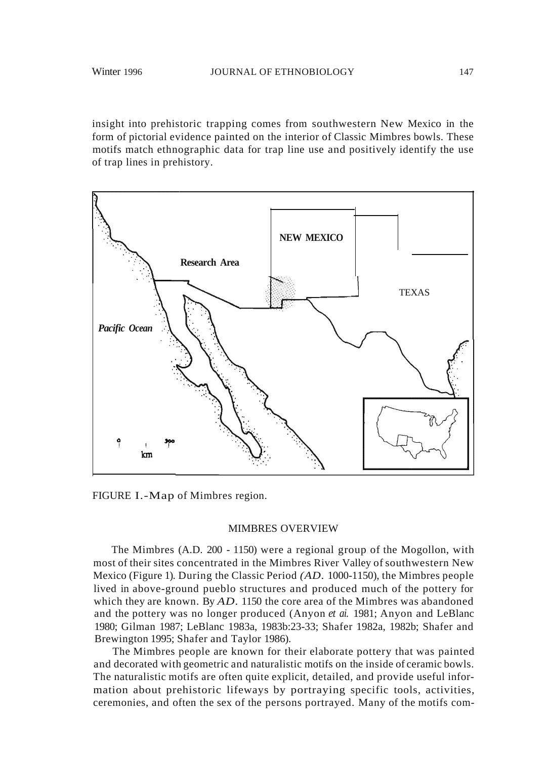insight into prehistoric trapping comes from southwestern New Mexico in the form of pictorial evidence painted on the interior of Classic Mimbres bowls. These motifs match ethnographic data for trap line use and positively identify the use of trap lines in prehistory.



FIGURE I.-Map of Mimbres region.

#### MIMBRES OVERVIEW

The Mimbres (A.D. 200 - 1150) were a regional group of the Mogollon, with most of their sites concentrated in the Mimbres River Valley of southwestern New Mexico (Figure 1). During the Classic Period *(AD.* 1000-1150), the Mimbres people lived in above-ground pueblo structures and produced much of the pottery for which they are known. By *AD*. 1150 the core area of the Mimbres was abandoned and the pottery was no longer produced (Anyon *et ai.* 1981; Anyon and LeBlanc 1980; Gilman 1987; LeBlanc 1983a, 1983b:23-33; Shafer 1982a, 1982b; Shafer and Brewington 1995; Shafer and Taylor 1986).

The Mimbres people are known for their elaborate pottery that was painted and decorated with geometric and naturalistic motifs on the inside of ceramic bowls. The naturalistic motifs are often quite explicit, detailed, and provide useful information about prehistoric lifeways by portraying specific tools, activities, ceremonies, and often the sex of the persons portrayed. Many of the motifs com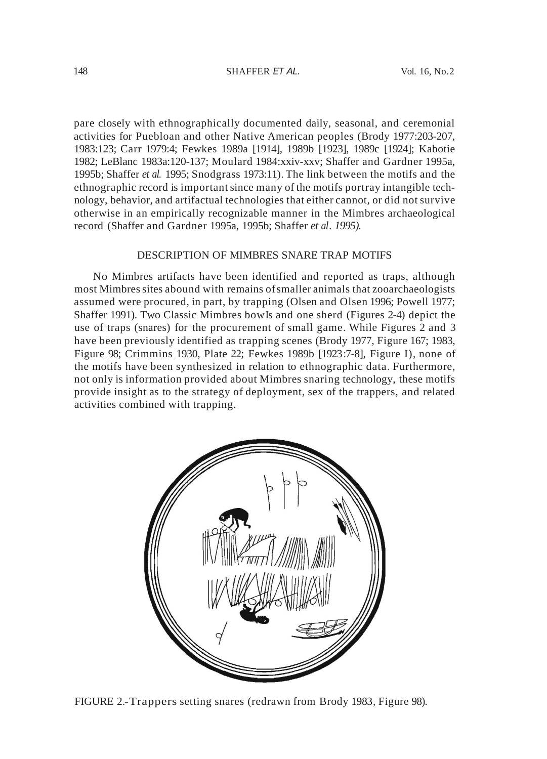pare closely with ethnographically documented daily, seasonal, and ceremonial activities for Puebloan and other Native American peoples (Brody 1977:203-207, 1983:123; Carr 1979:4; Fewkes 1989a [1914], 1989b [1923], 1989c [1924]; Kabotie 1982; LeBlanc 1983a:120-137; Moulard 1984:xxiv-xxv; Shaffer and Gardner 1995a, 1995b; Shaffer *et al.* 1995; Snodgrass 1973:11). The link between the motifs and the ethnographic record is importantsince many of the motifs portray intangible technology, behavior, and artifactual technologies that either cannot, or did notsurvive otherwise in an empirically recognizable manner in the Mimbres archaeological record (Shaffer and Gardner 1995a, 1995b; Shaffer *et al. 1995).*

### DESCRIPTION OF MIMBRES SNARE TRAP MOTIFS

No Mimbres artifacts have been identified and reported as traps, although most Mimbressites abound with remains ofsmaller animals that zooarchaeologists assumed were procured, in part, by trapping (Olsen and Olsen 1996; Powell 1977; Shaffer 1991). Two Classic Mimbres bowIs and one sherd (Figures 2-4) depict the use of traps (snares) for the procurement of small game. While Figures 2 and 3 have been previously identified as trapping scenes (Brody 1977, Figure 167; 1983, Figure 98; Crimmins 1930, Plate 22; Fewkes 1989b [1923:7-8], Figure I), none of the motifs have been synthesized in relation to ethnographic data. Furthermore, not only is information provided about Mimbres snaring technology, these motifs provide insight as to the strategy of deployment, sex of the trappers, and related activities combined with trapping.



FIGURE 2.-Trappers setting snares (redrawn from Brody 1983, Figure 98).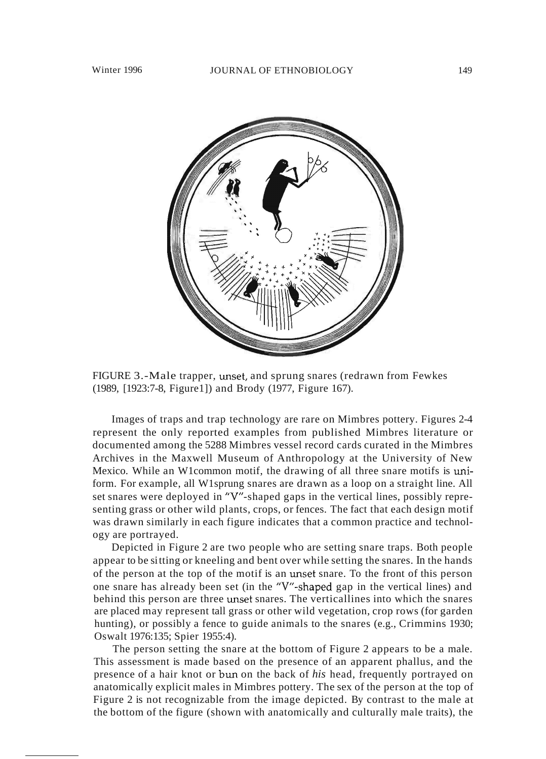

FIGURE 3.-Male trapper, unset, and sprung snares (redrawn from Fewkes (1989, [1923:7-8, Figure1]) and Brody (1977, Figure 167).

Images of traps and trap technology are rare on Mimbres pottery. Figures 2-4 represent the only reported examples from published Mimbres literature or documented among the 5288 Mimbres vessel record cards curated in the Mimbres Archives in the Maxwell Museum of Anthropology at the University of New Mexico. While an W1common motif, the drawing of all three snare motifs is uniform. For example, all W1sprung snares are drawn as a loop on a straight line. All set snares were deployed in "Y"-shaped gaps in the vertical lines, possibly representing grass or other wild plants, crops, or fences. The fact that each design motif was drawn similarly in each figure indicates that a common practice and technology are portrayed.

Depicted in Figure 2 are two people who are setting snare traps. Both people appear to be sitting or kneeling and bent over while setting the snares. In the hands of the person at the top of the motif is an unset snare. To the front of this person one snare has already been set (in the "Y"-shaped gap in the vertical lines) and behind this person are three unset snares. The verticallines into which the snares are placed may represent tall grass or other wild vegetation, crop rows (for garden hunting), or possibly a fence to guide animals to the snares (e.g., Crimmins 1930; Oswalt 1976:135; Spier 1955:4).

The person setting the snare at the bottom of Figure 2 appears to be a male. This assessment is made based on the presence of an apparent phallus, and the presence of a hair knot or bun on the back of *his* head, frequently portrayed on anatomically explicit males in Mimbres pottery. The sex of the person at the top of Figure 2 is not recognizable from the image depicted. By contrast to the male at the bottom of the figure (shown with anatomically and culturally male traits), the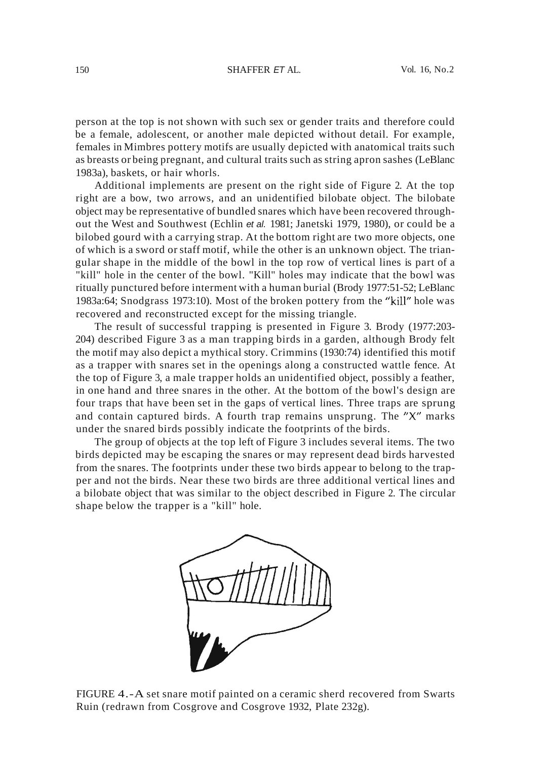#### 150 SHAFFER ET AL. Vol. 16, No.2

person at the top is not shown with such sex or gender traits and therefore could be a female, adolescent, or another male depicted without detail. For example, females in Mimbres pottery motifs are usually depicted with anatomical traits such as breasts or being pregnant, and cultural traits such as string apron sashes (LeBlanc 1983a), baskets, or hair whorls.

Additional implements are present on the right side of Figure 2. At the top right are a bow, two arrows, and an unidentified bilobate object. The bilobate object may be representative of bundled snares which have been recovered throughout the West and Southwest (Echlin et al. 1981; Janetski 1979, 1980), or could be a bilobed gourd with a carrying strap. At the bottom right are two more objects, one of which is a sword or staff motif, while the other is an unknown object. The triangular shape in the middle of the bowl in the top row of vertical lines is part of a "kill" hole in the center of the bowl. "Kill" holes may indicate that the bowl was ritually punctured before interment with a human burial (Brody 1977:51-52; LeBlanc 1983a:64; Snodgrass 1973:10). Most of the broken pottery from the "kill" hole was recovered and reconstructed except for the missing triangle.

The result of successful trapping is presented in Figure 3. Brody (1977:203- 204) described Figure 3 as a man trapping birds in a garden, although Brody felt the motif may also depict a mythical story. Crimmins (1930:74) identified this motif as a trapper with snares set in the openings along a constructed wattle fence. At the top of Figure 3, a male trapper holds an unidentified object, possibly a feather, in one hand and three snares in the other. At the bottom of the bowl's design are four traps that have been set in the gaps of vertical lines. Three traps are sprung and contain captured birds. A fourth trap remains unsprung. The "X" marks under the snared birds possibly indicate the footprints of the birds.

The group of objects at the top left of Figure 3 includes several items. The two birds depicted may be escaping the snares or may represent dead birds harvested from the snares. The footprints under these two birds appear to belong to the trapper and not the birds. Near these two birds are three additional vertical lines and a bilobate object that was similar to the object described in Figure 2. The circular shape below the trapper is a "kill" hole.



FIGURE 4.-A set snare motif painted on a ceramic sherd recovered from Swarts Ruin (redrawn from Cosgrove and Cosgrove 1932, Plate 232g).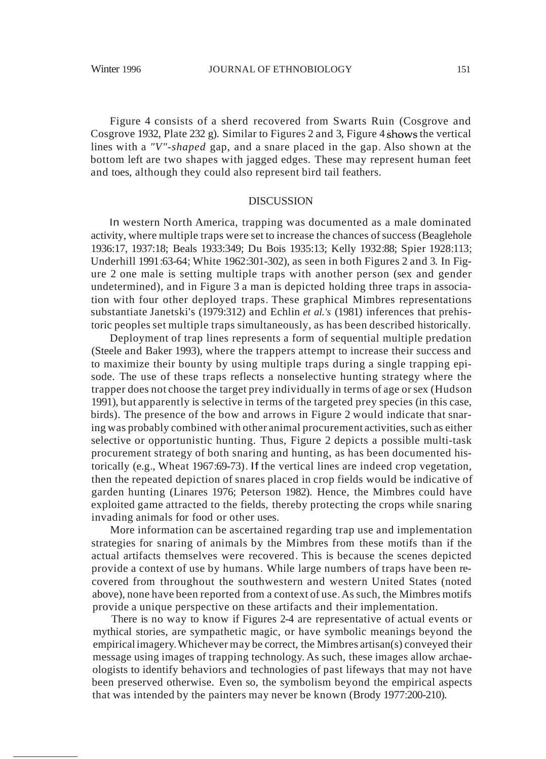Figure 4 consists of a sherd recovered from Swarts Ruin (Cosgrove and Cosgrove 1932, Plate 232 g). Similar to Figures 2 and 3, Figure 4 shows the vertical lines with a *"V"-shaped* gap, and a snare placed in the gap. Also shown at the bottom left are two shapes with jagged edges. These may represent human feet and toes, although they could also represent bird tail feathers.

## DISCUSSION

In western North America, trapping was documented as a male dominated activity, where multiple traps were set to increase the chances of success (Beaglehole 1936:17, 1937:18; Beals 1933:349; Du Bois 1935:13; Kelly 1932:88; Spier 1928:113; Underhill 1991:63-64; White 1962:301-302), as seen in both Figures 2 and 3. In Figure 2 one male is setting multiple traps with another person (sex and gender undetermined), and in Figure 3 a man is depicted holding three traps in association with four other deployed traps. These graphical Mimbres representations substantiate Janetski's (1979:312) and Echlin *et al.'s* (1981) inferences that prehistoric peoples set multiple traps simultaneously, as has been described historically.

Deployment of trap lines represents a form of sequential multiple predation (Steele and Baker 1993), where the trappers attempt to increase their success and to maximize their bounty by using multiple traps during a single trapping episode. The use of these traps reflects a nonselective hunting strategy where the trapper does not choose the target prey individually in terms of age orsex (Hudson 1991), but apparently is selective in terms of the targeted prey species (in this case, birds). The presence of the bow and arrows in Figure 2 would indicate that snaring was probably combined with other animal procurement activities, such as either selective or opportunistic hunting. Thus, Figure 2 depicts a possible multi-task procurement strategy of both snaring and hunting, as has been documented historically (e.g., Wheat 1967:69-73). If the vertical lines are indeed crop vegetation, then the repeated depiction of snares placed in crop fields would be indicative of garden hunting (Linares 1976; Peterson 1982). Hence, the Mimbres could have exploited game attracted to the fields, thereby protecting the crops while snaring invading animals for food or other uses.

More information can be ascertained regarding trap use and implementation strategies for snaring of animals by the Mimbres from these motifs than if the actual artifacts themselves were recovered. This is because the scenes depicted provide a context of use by humans. While large numbers of traps have been recovered from throughout the southwestern and western United States (noted above), none have been reported from a context of use.Assuch, the Mimbres motifs provide a unique perspective on these artifacts and their implementation.

There is no way to know if Figures 2-4 are representative of actual events or mythical stories, are sympathetic magic, or have symbolic meanings beyond the empiricalimagery.Whichever may be correct, the Mimbres artisan(s) conveyed their message using images of trapping technology. As such, these images allow archaeologists to identify behaviors and technologies of past lifeways that may not have been preserved otherwise. Even so, the symbolism beyond the empirical aspects that was intended by the painters may never be known (Brody 1977:200-210).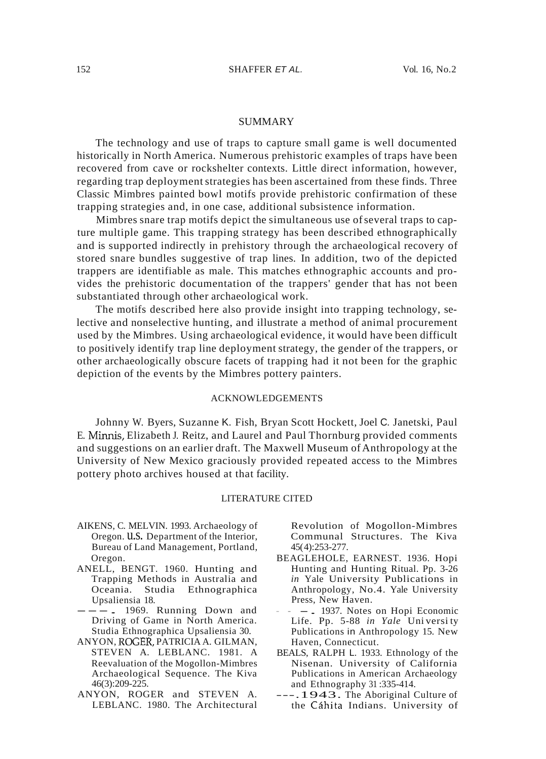#### **SUMMARY**

The technology and use of traps to capture small game is well documented historically in North America. Numerous prehistoric examples of traps have been recovered from cave or rockshelter contexts. Little direct information, however, regarding trap deployment strategies has been ascertained from these finds. Three Classic Mimbres painted bowl motifs provide prehistoric confirmation of these trapping strategies and, in one case, additional subsistence information.

Mimbres snare trap motifs depict the simultaneous use ofseveral traps to capture multiple game. This trapping strategy has been described ethnographically and is supported indirectly in prehistory through the archaeological recovery of stored snare bundles suggestive of trap lines. In addition, two of the depicted trappers are identifiable as male. This matches ethnographic accounts and provides the prehistoric documentation of the trappers' gender that has not been substantiated through other archaeological work.

The motifs described here also provide insight into trapping technology, selective and nonselective hunting, and illustrate a method of animal procurement used by the Mimbres. Using archaeological evidence, it would have been difficult to positively identify trap line deployment strategy, the gender of the trappers, or other archaeologically obscure facets of trapping had it not been for the graphic depiction of the events by the Mimbres pottery painters.

#### ACKNOWLEDGEMENTS

Johnny W. Byers, Suzanne K. Fish, Bryan Scott Hockett, Joel C. Janetski, Paul E. Minnis, Elizabeth J. Reitz, and Laurel and Paul Thornburg provided comments and suggestions on an earlier draft. The Maxwell Museum of Anthropology at the University of New Mexico graciously provided repeated access to the Mimbres pottery photo archives housed at that facility.

#### LITERATURE CITED

- AIKENS, C. MELVIN. 1993. Archaeology of Oregon. U.S. Department of the Interior, Bureau of Land Management, Portland, Oregon.
- ANELL, BENGT. 1960. Hunting and Trapping Methods in Australia and Oceania. Studia Ethnographica Upsaliensia 18.
- $---$  . 1969. Running Down and Driving of Game in North America. Studia Ethnographica Upsaliensia 30.
- ANYON, ROGER, PATRICIA A. GILMAN, STEVEN A. LEBLANC. 1981. A Reevaluation of the Mogollon-Mimbres Archaeological Sequence. The Kiva 46(3):209-225.
- ANYON, ROGER and STEVEN A. LEBLANC. 1980. The Architectural

Revolution of Mogollon-Mimbres Communal Structures. The Kiva 45(4):253-277.

- BEAGLEHOLE, EARNEST. 1936. Hopi Hunting and Hunting Ritual. Pp. 3-26 *in* Yale University Publications in Anthropology, No.4. Yale University Press, New Haven.
- - 1937. Notes on Hopi Economic Life. Pp. 5-88 *in Yale* Uni versi ty Publications in Anthropology 15. New Haven, Connecticut.
- BEALS, RALPH L. 1933. Ethnology of the Nisenan. University of California Publications in American Archaeology and Ethnography 31 :335-414.
- ---.1943. The Aboriginal Culture of the Cáhita Indians. University of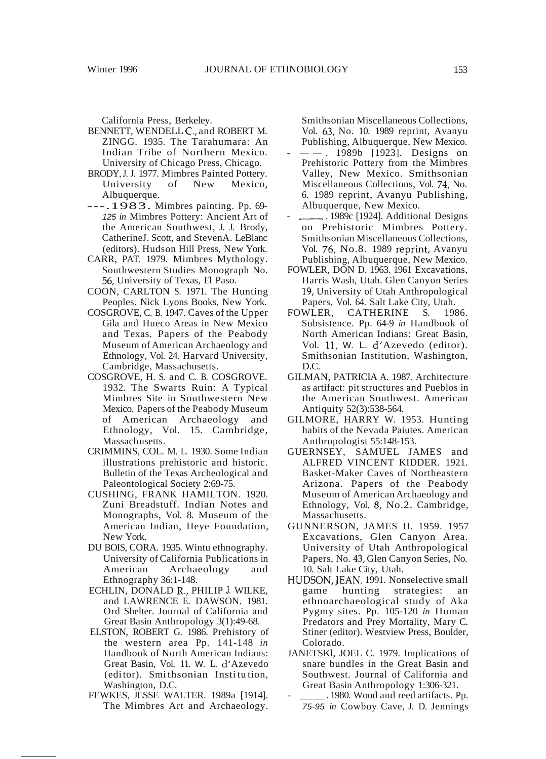California Press, Berkeley.

- BENNETT, WENDELL C., and ROBERT M. ZINGG. 1935. The Tarahumara: An Indian Tribe of Northern Mexico. University of Chicago Press, Chicago.
- BRODY,J. J. 1977. Mimbres Painted Pottery. University of New Mexico, Albuquerque.
- ---.1983. Mimbres painting. Pp. 69- 125 *in* Mimbres Pottery: Ancient Art of the American Southwest, J. J. Brody, CatherineJ. Scott, and StevenA. LeBlanc (editors). Hudson Hill Press, New York.
- CARR, PAT. 1979. Mimbres Mythology. Southwestern Studies Monograph No. 56, University of Texas, El Paso.
- COON, CARLTON S. 1971. The Hunting Peoples. Nick Lyons Books, New York.
- COSGROVE, C. B. 1947. Caves of the Upper Gila and Hueco Areas in New Mexico and Texas. Papers of the Peabody Museum of American Archaeology and Ethnology, Vol. 24. Harvard University, Cambridge, Massachusetts.
- COSGROVE, H. S. and C. B. COSGROVE. 1932. The Swarts Ruin: A Typical Mimbres Site in Southwestern New Mexico. Papers of the Peabody Museum of American Archaeology and Ethnology, Vol. 15. Cambridge, Massachusetts.
- CRIMMINS, COL. M. L. 1930. Some Indian illustrations prehistoric and historic. Bulletin of the Texas Archeological and Paleontological Society 2:69-75.
- CUSHING, FRANK HAMILTON. 1920. Zuni Breadstuff. Indian Notes and Monographs, Vol. 8. Museum of the American Indian, Heye Foundation, New York.
- DU BOIS, CORA. 1935. Wintu ethnography. University of California Publications in American Archaeology and Ethnography 36:1-148.
- ECHLIN, DONALD R., PHILIP J. WILKE, and LAWRENCE E. DAWSON. 1981. Ord Shelter. Journal of California and Great Basin Anthropology 3(1):49-68.
- ELSTON, ROBERT G. 1986. Prehistory of the western area Pp. 141-148 *in* Handbook of North American Indians: Great Basin, Vol. 11. W. L. d' Azevedo (edi tor). Smi thsonian Insti tu tion, Washington, D.C.
- FEWKES, JESSE WALTER. 1989a [1914]. The Mimbres Art and Archaeology.

Smithsonian Miscellaneous Collections, Vol. 63, No. 10. 1989 reprint, Avanyu Publishing, Albuquerque, New Mexico.

- $---$ . 1989b [1923]. Designs on Prehistoric Pottery from the Mimbres Valley, New Mexico. Smithsonian Miscellaneous Collections, Vol. 74, No. 6. 1989 reprint, Avanyu Publishing, Albuquerque, New Mexico.
- ..1989c [1924]. Additional Designs on Prehistoric Mimbres Pottery. Smithsonian Miscellaneous Collections, Vol. 76, No.8. 1989 reprint, Avanyu Publishing, Albuquerque, New Mexico.
- FOWLER, DON D. 1963. 1961 Excavations, Harris Wash, Utah. Glen Canyon Series 19, University of Utah Anthropological Papers, Vol. 64. Salt Lake City, Utah.
- FOWLER, CATHERINE S. 1986. Subsistence. Pp. 64-9 *in* Handbook of North American Indians: Great Basin, Vol. 11, W. L. d'Azevedo (editor). Smithsonian Institution, Washington, D.C.
- GILMAN, PATRICIA A. 1987. Architecture as artifact: pit structures and Pueblos in the American Southwest. American Antiquity 52(3):538-564.
- GILMORE, HARRY W. 1953. Hunting habits of the Nevada Paiutes. American Anthropologist 55:148-153.
- GUERNSEY, SAMUEL JAMES and ALFRED VINCENT KIDDER. 1921. Basket-Maker Caves of Northeastern Arizona. Papers of the Peabody Museum of American Archaeology and Ethnology, Vol. 8, No.2. Cambridge, Massachusetts.
- GUNNERSON, JAMES H. 1959. 1957 Excavations, Glen Canyon Area. University of Utah Anthropological Papers, No. 43, Glen Canyon Series, No. 10. Salt Lake City, Utah.
- HUDSON, JEAN. 1991. Nonselective small game hunting strategies: an ethnoarchaeological study of Aka Pygmy sites. Pp. 105-120 *in* Human Predators and Prey Mortality, Mary C. Stiner (editor). Westview Press, Boulder, Colorado.
- JANETSKl, JOEL C. 1979. Implications of snare bundles in the Great Basin and Southwest. Journal of California and Great Basin Anthropology 1:306-321.<br>- \_\_\_\_\_\_\_. 1980. Wood and reed artifacts. Pp.
- 75-95 *in* Cowboy Cave, J. D. Jennings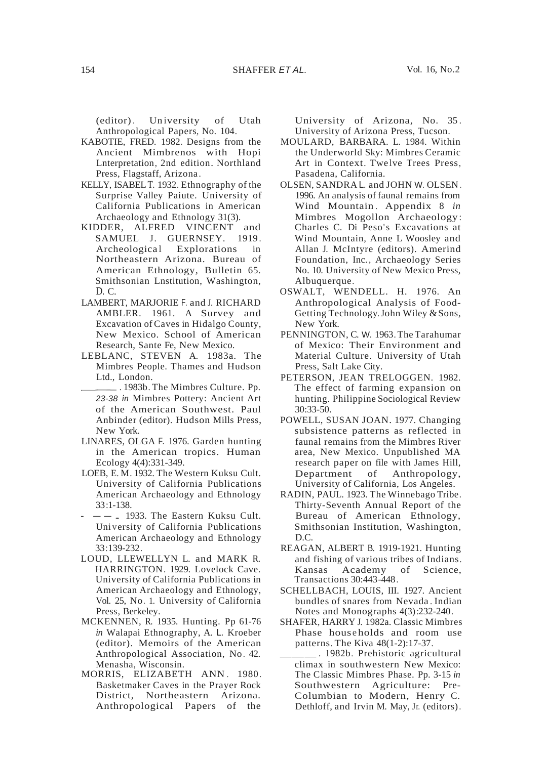(editor). Un iversity of Utah Anthropological Papers, No. 104.

- KABOTIE, FRED. 1982. Designs from the Ancient Mimbrenos with Hopi Lnterpretation, 2nd edition. Northland Press, Flagstaff, Arizona.
- KELLY, ISABELT. 1932. Ethnography of the Surprise Valley Paiute. University of California Publications in American Archaeology and Ethnology 31(3).
- KIDDER, ALFRED VINCENT and SAMUEL J. GUERNSEY. 1919. Archeological Explorations in Northeastern Arizona. Bureau of American Ethnology, Bulletin 65. Smithsonian Lnstitution, Washington, D. C.
- LAMBERT, MARJORIE F. and J. RICHARD AMBLER. 1961. A Survey and Excavation ofCaves in Hidalgo County, New Mexico. School of American Research, Sante Fe, New Mexico.
- LEBLANC, STEVEN A. 1983a. The Mimbres People. Thames and Hudson Ltd., London.
	- \_ \_ \_ . 1983b. The Mimbres Culture. Pp. 23-38 *in* Mimbres Pottery: Ancient Art of the American Southwest. Paul Anbinder (editor). Hudson Mills Press, New York.
- LINARES, OLGA F. 1976. Garden hunting in the American tropics. Human Ecology 4(4):331-349.
- LOEB, E. M. 1932. The Western Kuksu Cult. University of California Publications American Archaeology and Ethnology 33:1-138.
- $-$ . 1933. The Eastern Kuksu Cult. Uni versity of California Publications American Archaeology and Ethnology 33:139-232.
- LOUD, LLEWELLYN L. and MARK R. HARRINGTON. 1929. Lovelock Cave. University of California Publications in American Archaeology and Ethnology, Vol. 25, No. 1. University of California Press, Berkeley.
- MCKENNEN, R. 1935. Hunting. Pp 61-76 *in* Walapai Ethnography, A. L. Kroeber (editor). Memoirs of the American Anthropological Association, No. 42. Menasha, Wisconsin.
- MORRIS, ELIZABETH ANN. 1980. Basketmaker Caves in the Prayer Rock District, Northeastern Arizona. Anthropological Papers of the

University of Arizona, No. 35 . University of Arizona Press, Tucson.

- MOULARD, BARBARA. L. 1984. Within the Underworld Sky: Mimbres Ceramic Art in Context. Twelve Trees Press, Pasadena, California.
- OLSEN, SANDRA L. and JOHN W. OLSEN. 1996. An analysis of faunal remains from Wind Mountain. Appendix 8 *in* Mimbres Mogollon Archaeology : Charles C. Di Peso's Excavations at Wind Mountain, Anne L Woosley and Allan J. McIntyre (editors). Amerind Foundation, Inc., Archaeology Series No. 10. University of New Mexico Press, Albuquerque.
- OSWALT, WENDELL. H. 1976. An Anthropological Analysis of Food-Getting Technology. John Wiley & Sons. New York.
- PENNINGTON, C. W. 1963.The Tarahumar of Mexico: Their Environment and Material Culture. University of Utah Press, Salt Lake City.
- PETERSON, JEAN TRELOGGEN. 1982. The effect of farming expansion on hunting. Philippine Sociological Review 30:33-50.
- POWELL, SUSAN JOAN. 1977. Changing subsistence patterns as reflected in faunal remains from the Mimbres River area, New Mexico. Unpublished MA research paper on file with James Hill, Department of Anthropology, University of California, Los Angeles.
- RADIN, PAUL. 1923. The Winnebago Tribe. Thirty-Seventh Annual Report of the Bureau of American Ethnology, Smithsonian Institution, Washington, D.C.
- REAGAN, ALBERT B. 1919-1921. Hunting and fishing of various tribes of Indians. Kansas Academy of Science, Transactions 30:443-448.
- SCHELLBACH, LOUIS, III. 1927. Ancient bundles of snares from Nevada . Indian Notes and Monographs 4(3):232-240.
- SHAFER, HARRY J. 1982a. Classic Mimbres Phase households and room use patterns. The Kiva 48(1-2):17-37.
- \_\_\_. 1982b. Prehistoric agricultural climax in southwestern New Mexico: The Classic Mimbres Phase. Pp. 3-15 *in* Southwestern Agriculture: Pre-Columbian to Modern, Henry C. Dethloff, and Irvin M. May, Jr. (editors).